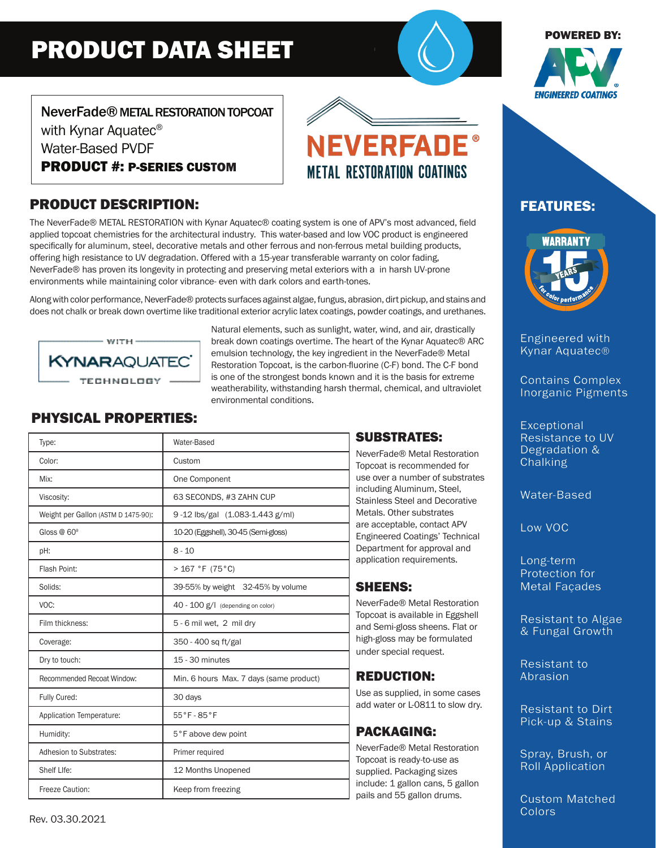# PRODUCT DATA SHEET

#### POWERED BY:



NeverFade® METAL RESTORATION TOPCOAT with Kynar Aquatec<sup>®</sup> Water-Based PVDF PRODUCT #: P-SERIES CUSTOM

# PRODUCT DESCRIPTION:

The NeverFade® METAL RESTORATION with Kynar Aquatec® coating system is one of APV's most advanced, field applied topcoat chemistries for the architectural industry. This water-based and low VOC product is engineered specifically for aluminum, steel, decorative metals and other ferrous and non-ferrous metal building products, offering high resistance to UV degradation. Offered with a 15-year transferable warranty on color fading, NeverFade® has proven its longevity in protecting and preserving metal exteriors with a in harsh UV-prone environments while maintaining color vibrance- even with dark colors and earth-tones.

Along with color performance, NeverFade® protects surfaces against algae, fungus, abrasion, dirt pickup, and stains and does not chalk or break down overtime like traditional exterior acrylic latex coatings, powder coatings, and urethanes.



Natural elements, such as sunlight, water, wind, and air, drastically break down coatings overtime. The heart of the Kynar Aquatec® ARC emulsion technology, the key ingredient in the NeverFade® Metal Restoration Topcoat, is the carbon-fluorine (C-F) bond. The C-F bond is one of the strongest bonds known and it is the basis for extreme weatherability, withstanding harsh thermal, chemical, and ultraviolet environmental conditions.

# PHYSICAL PROPERTIES:

| Type:                               | Water-Based                             |
|-------------------------------------|-----------------------------------------|
| Color:                              | Custom                                  |
| Mix:                                | One Component                           |
| Viscosity:                          | 63 SECONDS, #3 ZAHN CUP                 |
| Weight per Gallon (ASTM D 1475-90): | 9-12 lbs/gal (1.083-1.443 g/ml)         |
| Gloss $@60°$                        | 10-20 (Eggshell), 30-45 (Semi-gloss)    |
| pH:                                 | $8 - 10$                                |
| Flash Point:                        | >167 °F (75 °C)                         |
| Solids:                             | 39-55% by weight 32-45% by volume       |
| VOC:                                | 40 - 100 g/l (depending on color)       |
| Film thickness:                     | 5 - 6 mil wet, 2 mil dry                |
| Coverage:                           | 350 - 400 sq ft/gal                     |
| Dry to touch:                       | 15 - 30 minutes                         |
| Recommended Recoat Window:          | Min. 6 hours Max. 7 days (same product) |
| Fully Cured:                        | 30 days                                 |
| Application Temperature:            | 55°F-85°F                               |
| Humidity:                           | 5°F above dew point                     |
| Adhesion to Substrates:             | Primer required                         |
| Shelf Llfe:                         | 12 Months Unopened                      |
| Freeze Caution:                     | Keep from freezing                      |

### SUBSTRATES:

**NEVERFADE** 

**METAL RESTORATION COATINGS** 

NeverFade® Metal Restoration Topcoat is recommended for use over a number of substrates including Aluminum, Steel, Stainless Steel and Decorative Metals. Other substrates are acceptable, contact APV Engineered Coatings' Technical Department for approval and application requirements.

### SHEENS:

NeverFade® Metal Restoration Topcoat is available in Eggshell and Semi-gloss sheens. Flat or high-gloss may be formulated under special request.

# REDUCTION:

Use as supplied, in some cases add water or L-0811 to slow dry.

# PACKAGING:

NeverFade® Metal Restoration Topcoat is ready-to-use as supplied. Packaging sizes include: 1 gallon cans, 5 gallon pails and 55 gallon drums.

# FEATURES:



Engineered with Kynar Aquatec®

Contains Complex Inorganic Pigments

**Exceptional** Resistance to UV Degradation & **Chalking** 

Water-Based

Low VOC

Long-term Protection for Metal Façades

Resistant to Algae & Fungal Growth

Resistant to Abrasion

Resistant to Dirt Pick-up & Stains

Spray, Brush, or Roll Application

Custom Matched **Colors**